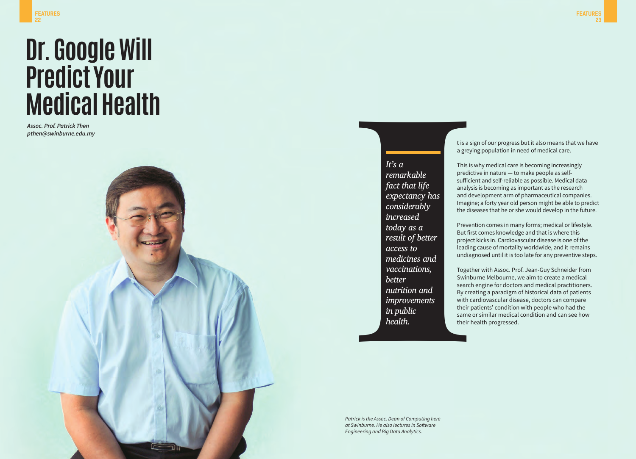## **Dr. Google Will Predict Your Medical Health**

*Assoc. Prof. Patrick Then pthen@swinburne.edu.my*

## *It's a remarkable fact that life expectancy has considerably increased today as a result of better access to*

*medicines and vaccinations,* 

*nutrition and improvements* 

*better* 

*in public health.*

t is a sign of our progress but it also means that we have a greying population in need of medical care.

This is why medical care is becoming increasingly predictive in nature — to make people as selfsufficient and self-reliable as possible. Medical data analysis is becoming as important as the research and development arm of pharmaceutical companies. Imagine; a forty year old person might be able to predict the diseases that he or she would develop in the future.

Prevention comes in many forms; medical or lifestyle. But first comes knowledge and that is where this project kicks in. Cardiovascular disease is one of the leading cause of mortality worldwide, and it remains undiagnosed until it is too late for any preventive steps.

Together with Assoc. Prof. Jean-Guy Schneider from Swinburne Melbourne, we aim to create a medical search engine for doctors and medical practitioners. By creating a paradigm of historical data of patients with cardiovascular disease, doctors can compare their patients' condition with people who had the said of the same of the same of the same of the same of the same of the same of the same of the same of the same of the same of the same of the same of the same of the same of the same of the same of the same of the same o

*Patrick is the Assoc. Dean of Computing here at Swinburne. He also lectures in Software Engineering and Big Data Analytics.*